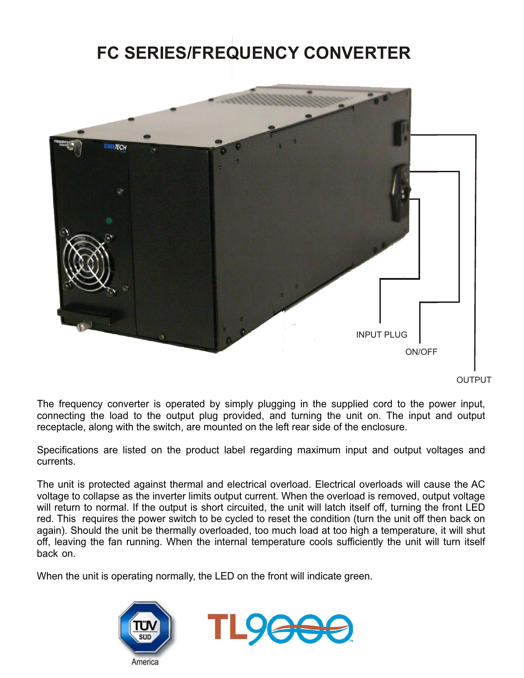# **FC SERIES/FREQUENCY CONVERTER**



The frequency converter is operated by simply plugging in the supplied cord to the power input, connecting the load to the output plug provided, and turning the unit on. The input and output receptacle, along with the switch, are mounted on the left rear side of the enclosure.

Specifications are listed on the product label regarding maximum input and output voltages and currents.

The unit is protected against thermal and electrical overload. Electrical overloads will cause the AC voltage to collapse as the inverter limits output current. When the overload is removed, output voltage will return to normal. If the output is short circuited, the unit will latch itself off, turning the front LED red. This requires the power switch to be cycled to reset the condition (turn the unit off then back on again). Should the unit be thermally overloaded, too much load at too high a temperature, it will shut off, leaving the fan running. When the internal temperature cools sufficiently the unit will turn itself back on.

When the unit is operating normally, the LED on the front will indicate green.